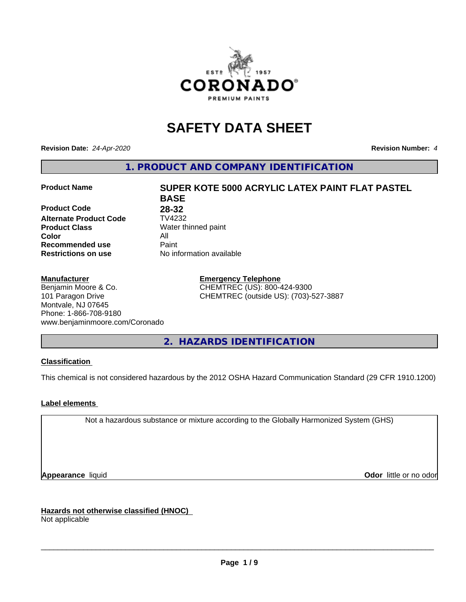

## **SAFETY DATA SHEET**

**Revision Date:** *24-Apr-2020* **Revision Number:** *4*

**1. PRODUCT AND COMPANY IDENTIFICATION**

**Product Code 28-32**<br>**Alternate Product Code 1V4232 Alternate Product Code Product Class** Water thinned paint<br> **Color** All **Color** All **Recommended use Caint Restrictions on use** No information available

#### **Manufacturer**

Benjamin Moore & Co. 101 Paragon Drive Montvale, NJ 07645 Phone: 1-866-708-9180 www.benjaminmoore.com/Coronado

# **Product Name SUPER KOTE 5000 ACRYLIC LATEX PAINT FLAT PASTEL BASE**

**Emergency Telephone** CHEMTREC (US): 800-424-9300 CHEMTREC (outside US): (703)-527-3887

**2. HAZARDS IDENTIFICATION**

#### **Classification**

This chemical is not considered hazardous by the 2012 OSHA Hazard Communication Standard (29 CFR 1910.1200)

#### **Label elements**

Not a hazardous substance or mixture according to the Globally Harmonized System (GHS)

**Appearance** liquid **Contract Contract Contract Contract Contract Contract Contract Contract Contract Contract Contract Contract Contract Contract Contract Contract Contract Contract Contract Contract Contract Contract Con** 

**Hazards not otherwise classified (HNOC)**

Not applicable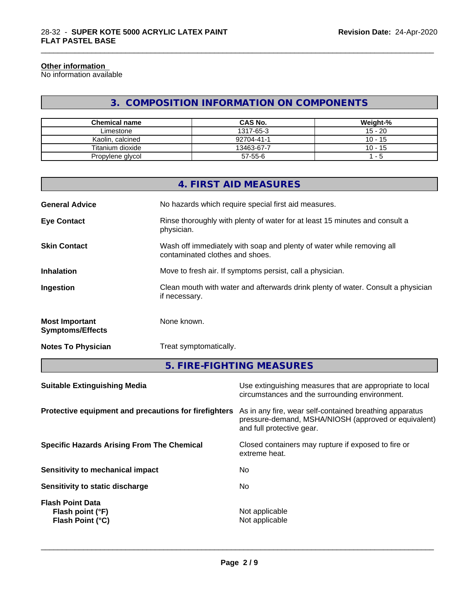#### **Other information**

No information available

#### **3. COMPOSITION INFORMATION ON COMPONENTS**

\_\_\_\_\_\_\_\_\_\_\_\_\_\_\_\_\_\_\_\_\_\_\_\_\_\_\_\_\_\_\_\_\_\_\_\_\_\_\_\_\_\_\_\_\_\_\_\_\_\_\_\_\_\_\_\_\_\_\_\_\_\_\_\_\_\_\_\_\_\_\_\_\_\_\_\_\_\_\_\_\_\_\_\_\_\_\_\_\_\_\_\_\_

| Chemical name    | <b>CAS No.</b> | Weight-%  |
|------------------|----------------|-----------|
| Limestone        | 1317-65-3      | $15 - 20$ |
| Kaolin, calcined | 92704-41-1     | $10 - 15$ |
| Titanium dioxide | 13463-67-7     | $10 - 15$ |
| Propylene glycol | 57-55-6        | - 5       |

|                                                  | 4. FIRST AID MEASURES                                                                                    |
|--------------------------------------------------|----------------------------------------------------------------------------------------------------------|
| <b>General Advice</b>                            | No hazards which require special first aid measures.                                                     |
| <b>Eye Contact</b>                               | Rinse thoroughly with plenty of water for at least 15 minutes and consult a<br>physician.                |
| <b>Skin Contact</b>                              | Wash off immediately with soap and plenty of water while removing all<br>contaminated clothes and shoes. |
| <b>Inhalation</b>                                | Move to fresh air. If symptoms persist, call a physician.                                                |
| Ingestion                                        | Clean mouth with water and afterwards drink plenty of water. Consult a physician<br>if necessary.        |
| <b>Most Important</b><br><b>Symptoms/Effects</b> | None known.                                                                                              |
| <b>Notes To Physician</b>                        | Treat symptomatically.                                                                                   |

**5. FIRE-FIGHTING MEASURES**

| <b>Suitable Extinguishing Media</b>                             | Use extinguishing measures that are appropriate to local<br>circumstances and the surrounding environment.                                   |
|-----------------------------------------------------------------|----------------------------------------------------------------------------------------------------------------------------------------------|
| Protective equipment and precautions for firefighters           | As in any fire, wear self-contained breathing apparatus<br>pressure-demand, MSHA/NIOSH (approved or equivalent)<br>and full protective gear. |
| <b>Specific Hazards Arising From The Chemical</b>               | Closed containers may rupture if exposed to fire or<br>extreme heat.                                                                         |
| Sensitivity to mechanical impact                                | No.                                                                                                                                          |
| Sensitivity to static discharge                                 | No.                                                                                                                                          |
| <b>Flash Point Data</b><br>Flash point (°F)<br>Flash Point (°C) | Not applicable<br>Not applicable                                                                                                             |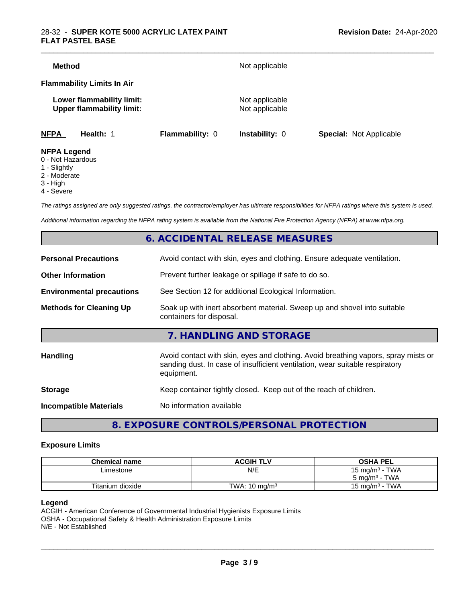#### 28-32 - **SUPER KOTE 5000 ACRYLIC LATEX PAINT FLAT PASTEL BASE**

| <b>NFPA</b>                       | Health: 1                                                     | <b>Flammability: 0</b> | <b>Instability: 0</b>            | <b>Special: Not Applicable</b> |  |
|-----------------------------------|---------------------------------------------------------------|------------------------|----------------------------------|--------------------------------|--|
|                                   | Lower flammability limit:<br><b>Upper flammability limit:</b> |                        | Not applicable<br>Not applicable |                                |  |
| <b>Flammability Limits In Air</b> |                                                               |                        |                                  |                                |  |
| <b>Method</b>                     |                                                               |                        | Not applicable                   |                                |  |

- 0 Not Hazardous
- 1 Slightly
- 2 Moderate
- 3 High
- 4 Severe

*The ratings assigned are only suggested ratings, the contractor/employer has ultimate responsibilities for NFPA ratings where this system is used.*

*Additional information regarding the NFPA rating system is available from the National Fire Protection Agency (NFPA) at www.nfpa.org.*

#### **6. ACCIDENTAL RELEASE MEASURES**

| <b>Personal Precautions</b>      | Avoid contact with skin, eyes and clothing. Ensure adequate ventilation.                                                                                                         |
|----------------------------------|----------------------------------------------------------------------------------------------------------------------------------------------------------------------------------|
| <b>Other Information</b>         | Prevent further leakage or spillage if safe to do so.                                                                                                                            |
| <b>Environmental precautions</b> | See Section 12 for additional Ecological Information.                                                                                                                            |
| <b>Methods for Cleaning Up</b>   | Soak up with inert absorbent material. Sweep up and shovel into suitable<br>containers for disposal.                                                                             |
|                                  | 7. HANDLING AND STORAGE                                                                                                                                                          |
| Handling                         | Avoid contact with skin, eyes and clothing. Avoid breathing vapors, spray mists or<br>sanding dust. In case of insufficient ventilation, wear suitable respiratory<br>equipment. |
| <b>Storage</b>                   | Keep container tightly closed. Keep out of the reach of children.                                                                                                                |
| <b>Incompatible Materials</b>    | No information available                                                                                                                                                         |
|                                  |                                                                                                                                                                                  |

#### **8. EXPOSURE CONTROLS/PERSONAL PROTECTION**

#### **Exposure Limits**

| <b>Chemical name</b> | <b>ACGIH TLV</b>         | <b>OSHA PEL</b>            |
|----------------------|--------------------------|----------------------------|
| Limestone            | N/E                      | 15 mg/m <sup>3</sup> - TWA |
|                      |                          | $5 \text{ ma/m}^3$ - TWA   |
| Titanium dioxide     | TWA: $10 \text{ mg/m}^3$ | $15 \text{ mg/m}^3$ - TWA  |

#### **Legend**

ACGIH - American Conference of Governmental Industrial Hygienists Exposure Limits OSHA - Occupational Safety & Health Administration Exposure Limits N/E - Not Established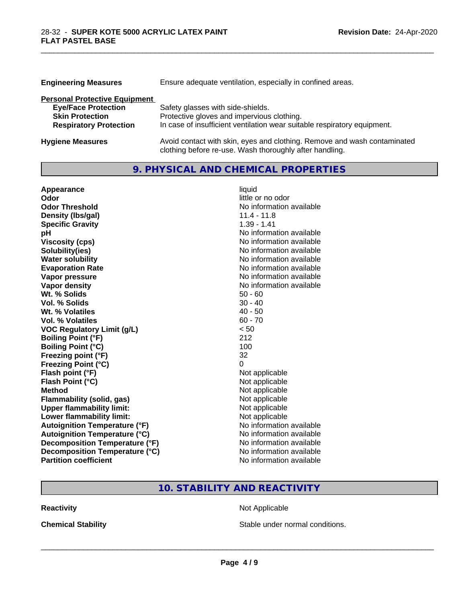| <b>Engineering Measures</b>          | Ensure adequate ventilation, especially in confined areas.                                                                          |
|--------------------------------------|-------------------------------------------------------------------------------------------------------------------------------------|
| <b>Personal Protective Equipment</b> |                                                                                                                                     |
| <b>Eye/Face Protection</b>           | Safety glasses with side-shields.                                                                                                   |
| <b>Skin Protection</b>               | Protective gloves and impervious clothing.                                                                                          |
| <b>Respiratory Protection</b>        | In case of insufficient ventilation wear suitable respiratory equipment.                                                            |
| <b>Hygiene Measures</b>              | Avoid contact with skin, eyes and clothing. Remove and wash contaminated<br>clothing before re-use. Wash thoroughly after handling. |

**9. PHYSICAL AND CHEMICAL PROPERTIES**

\_\_\_\_\_\_\_\_\_\_\_\_\_\_\_\_\_\_\_\_\_\_\_\_\_\_\_\_\_\_\_\_\_\_\_\_\_\_\_\_\_\_\_\_\_\_\_\_\_\_\_\_\_\_\_\_\_\_\_\_\_\_\_\_\_\_\_\_\_\_\_\_\_\_\_\_\_\_\_\_\_\_\_\_\_\_\_\_\_\_\_\_\_

| Appearance                           | liquid                   |
|--------------------------------------|--------------------------|
| Odor                                 | little or no odor        |
| <b>Odor Threshold</b>                | No information available |
| Density (Ibs/gal)                    | $11.4 - 11.8$            |
| <b>Specific Gravity</b>              | $1.39 - 1.41$            |
| pH                                   | No information available |
| <b>Viscosity (cps)</b>               | No information available |
| Solubility(ies)                      | No information available |
| <b>Water solubility</b>              | No information available |
| <b>Evaporation Rate</b>              | No information available |
| Vapor pressure                       | No information available |
| <b>Vapor density</b>                 | No information available |
| Wt. % Solids                         | $50 - 60$                |
| Vol. % Solids                        | $30 - 40$                |
| Wt. % Volatiles                      | $40 - 50$                |
| <b>Vol. % Volatiles</b>              | $60 - 70$                |
| <b>VOC Regulatory Limit (g/L)</b>    | < 50                     |
| <b>Boiling Point (°F)</b>            | 212                      |
| <b>Boiling Point (°C)</b>            | 100                      |
| Freezing point (°F)                  | 32                       |
| <b>Freezing Point (°C)</b>           | 0                        |
| Flash point (°F)                     | Not applicable           |
| Flash Point (°C)                     | Not applicable           |
| <b>Method</b>                        | Not applicable           |
| <b>Flammability (solid, gas)</b>     | Not applicable           |
| <b>Upper flammability limit:</b>     | Not applicable           |
| Lower flammability limit:            | Not applicable           |
| <b>Autoignition Temperature (°F)</b> | No information available |
| <b>Autoignition Temperature (°C)</b> | No information available |
| Decomposition Temperature (°F)       | No information available |
| Decomposition Temperature (°C)       | No information available |
| <b>Partition coefficient</b>         | No information available |

### **10. STABILITY AND REACTIVITY**

**Reactivity Not Applicable** Not Applicable

**Chemical Stability Chemical Stability** Stable under normal conditions.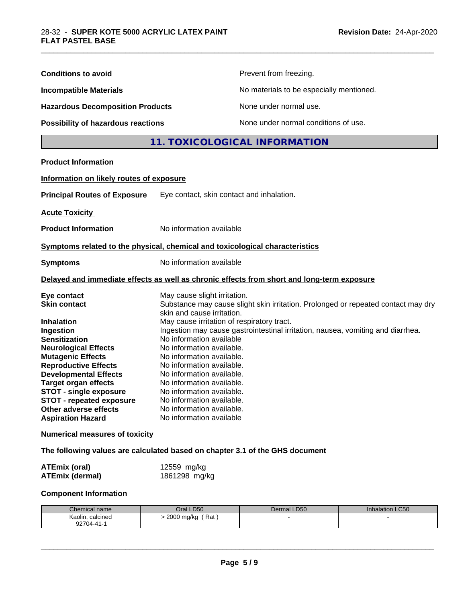| <b>Conditions to avoid</b>                                                                                                                                                                                                                                                                                                                                                                                              |                                                                                                                                                                                                                                                                                                                                                                                                          | Prevent from freezing.                                                                                                                                               |                 |  |
|-------------------------------------------------------------------------------------------------------------------------------------------------------------------------------------------------------------------------------------------------------------------------------------------------------------------------------------------------------------------------------------------------------------------------|----------------------------------------------------------------------------------------------------------------------------------------------------------------------------------------------------------------------------------------------------------------------------------------------------------------------------------------------------------------------------------------------------------|----------------------------------------------------------------------------------------------------------------------------------------------------------------------|-----------------|--|
| <b>Incompatible Materials</b><br><b>Hazardous Decomposition Products</b><br><b>Possibility of hazardous reactions</b>                                                                                                                                                                                                                                                                                                   |                                                                                                                                                                                                                                                                                                                                                                                                          | No materials to be especially mentioned.                                                                                                                             |                 |  |
|                                                                                                                                                                                                                                                                                                                                                                                                                         |                                                                                                                                                                                                                                                                                                                                                                                                          | None under normal use.                                                                                                                                               |                 |  |
|                                                                                                                                                                                                                                                                                                                                                                                                                         |                                                                                                                                                                                                                                                                                                                                                                                                          | None under normal conditions of use.                                                                                                                                 |                 |  |
|                                                                                                                                                                                                                                                                                                                                                                                                                         |                                                                                                                                                                                                                                                                                                                                                                                                          | 11. TOXICOLOGICAL INFORMATION                                                                                                                                        |                 |  |
| <b>Product Information</b>                                                                                                                                                                                                                                                                                                                                                                                              |                                                                                                                                                                                                                                                                                                                                                                                                          |                                                                                                                                                                      |                 |  |
| Information on likely routes of exposure                                                                                                                                                                                                                                                                                                                                                                                |                                                                                                                                                                                                                                                                                                                                                                                                          |                                                                                                                                                                      |                 |  |
| <b>Principal Routes of Exposure</b>                                                                                                                                                                                                                                                                                                                                                                                     | Eye contact, skin contact and inhalation.                                                                                                                                                                                                                                                                                                                                                                |                                                                                                                                                                      |                 |  |
| <b>Acute Toxicity</b>                                                                                                                                                                                                                                                                                                                                                                                                   |                                                                                                                                                                                                                                                                                                                                                                                                          |                                                                                                                                                                      |                 |  |
| <b>Product Information</b>                                                                                                                                                                                                                                                                                                                                                                                              | No information available                                                                                                                                                                                                                                                                                                                                                                                 |                                                                                                                                                                      |                 |  |
| Symptoms related to the physical, chemical and toxicological characteristics                                                                                                                                                                                                                                                                                                                                            |                                                                                                                                                                                                                                                                                                                                                                                                          |                                                                                                                                                                      |                 |  |
| <b>Symptoms</b>                                                                                                                                                                                                                                                                                                                                                                                                         |                                                                                                                                                                                                                                                                                                                                                                                                          | No information available                                                                                                                                             |                 |  |
| Delayed and immediate effects as well as chronic effects from short and long-term exposure                                                                                                                                                                                                                                                                                                                              |                                                                                                                                                                                                                                                                                                                                                                                                          |                                                                                                                                                                      |                 |  |
| Eye contact<br><b>Skin contact</b><br><b>Inhalation</b><br>Ingestion<br><b>Sensitization</b><br><b>Neurological Effects</b><br><b>Mutagenic Effects</b><br><b>Reproductive Effects</b><br><b>Developmental Effects</b><br><b>Target organ effects</b><br><b>STOT - single exposure</b><br><b>STOT - repeated exposure</b><br>Other adverse effects<br><b>Aspiration Hazard</b><br><b>Numerical measures of toxicity</b> | May cause slight irritation.<br>skin and cause irritation.<br>May cause irritation of respiratory tract.<br>No information available<br>No information available.<br>No information available.<br>No information available.<br>No information available.<br>No information available.<br>No information available.<br>No information available.<br>No information available.<br>No information available | Substance may cause slight skin irritation. Prolonged or repeated contact may dry<br>Ingestion may cause gastrointestinal irritation, nausea, vomiting and diarrhea. |                 |  |
| The following values are calculated based on chapter 3.1 of the GHS document                                                                                                                                                                                                                                                                                                                                            |                                                                                                                                                                                                                                                                                                                                                                                                          |                                                                                                                                                                      |                 |  |
| <b>ATEmix (oral)</b><br><b>ATEmix (dermal)</b>                                                                                                                                                                                                                                                                                                                                                                          | 12559 mg/kg<br>1861298 mg/kg                                                                                                                                                                                                                                                                                                                                                                             |                                                                                                                                                                      |                 |  |
| <b>Component Information</b>                                                                                                                                                                                                                                                                                                                                                                                            |                                                                                                                                                                                                                                                                                                                                                                                                          |                                                                                                                                                                      |                 |  |
| Chemical name                                                                                                                                                                                                                                                                                                                                                                                                           | Oral LD50                                                                                                                                                                                                                                                                                                                                                                                                | Dermal LD50                                                                                                                                                          | Inhalation LC50 |  |
| Kaolin, calcined<br>92704-41-1                                                                                                                                                                                                                                                                                                                                                                                          | > 2000 mg/kg (Rat)                                                                                                                                                                                                                                                                                                                                                                                       |                                                                                                                                                                      |                 |  |

\_\_\_\_\_\_\_\_\_\_\_\_\_\_\_\_\_\_\_\_\_\_\_\_\_\_\_\_\_\_\_\_\_\_\_\_\_\_\_\_\_\_\_\_\_\_\_\_\_\_\_\_\_\_\_\_\_\_\_\_\_\_\_\_\_\_\_\_\_\_\_\_\_\_\_\_\_\_\_\_\_\_\_\_\_\_\_\_\_\_\_\_\_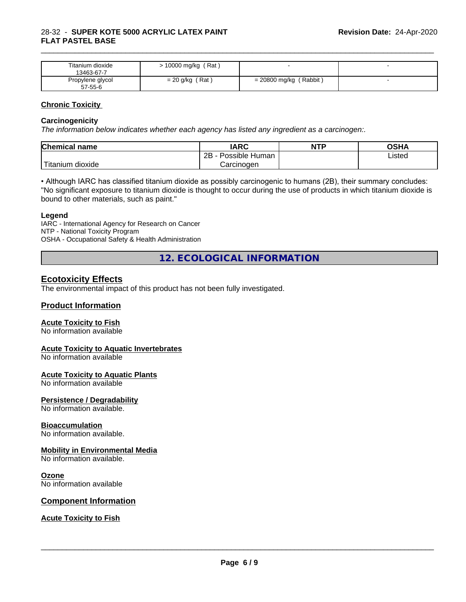| Titanium dioxide<br>13463-67-7 | 10000 mg/kg (Rat) |                          |  |
|--------------------------------|-------------------|--------------------------|--|
| Propylene glycol<br>57-55-6    | $= 20$ g/kg (Rat) | $= 20800$ mg/kg (Rabbit) |  |

\_\_\_\_\_\_\_\_\_\_\_\_\_\_\_\_\_\_\_\_\_\_\_\_\_\_\_\_\_\_\_\_\_\_\_\_\_\_\_\_\_\_\_\_\_\_\_\_\_\_\_\_\_\_\_\_\_\_\_\_\_\_\_\_\_\_\_\_\_\_\_\_\_\_\_\_\_\_\_\_\_\_\_\_\_\_\_\_\_\_\_\_\_

#### **Chronic Toxicity**

#### **Carcinogenicity**

*The information below indicateswhether each agency has listed any ingredient as a carcinogen:.*

| <b>Chemical name</b>             | <b>IARC</b>          | <b>NTP</b> | OSHA   |
|----------------------------------|----------------------|------------|--------|
|                                  | Possible Human<br>2B |            | Listed |
| $\mathbf{r}$<br>Fitanium dioxide | Carcinogen           |            |        |

• Although IARC has classified titanium dioxide as possibly carcinogenic to humans (2B), their summary concludes: "No significant exposure to titanium dioxide is thought to occur during the use of products in which titanium dioxide is bound to other materials, such as paint."

#### **Legend**

IARC - International Agency for Research on Cancer NTP - National Toxicity Program OSHA - Occupational Safety & Health Administration

**12. ECOLOGICAL INFORMATION**

#### **Ecotoxicity Effects**

The environmental impact of this product has not been fully investigated.

#### **Product Information**

#### **Acute Toxicity to Fish**

No information available

#### **Acute Toxicity to Aquatic Invertebrates**

No information available

#### **Acute Toxicity to Aquatic Plants**

No information available

#### **Persistence / Degradability**

No information available.

#### **Bioaccumulation**

No information available.

#### **Mobility in Environmental Media**

No information available.

#### **Ozone**

No information available

#### **Component Information**

#### **Acute Toxicity to Fish**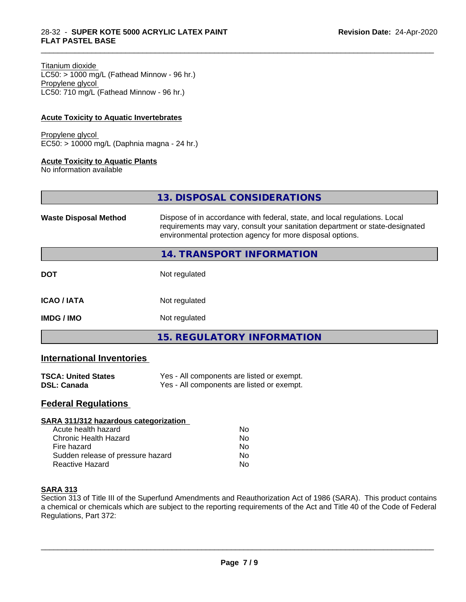#### Titanium dioxide

 $LC50:$  > 1000 mg/L (Fathead Minnow - 96 hr.) Propylene glycol LC50: 710 mg/L (Fathead Minnow - 96 hr.)

#### **Acute Toxicity to Aquatic Invertebrates**

Propylene glycol EC50: > 10000 mg/L (Daphnia magna - 24 hr.)

#### **Acute Toxicity to Aquatic Plants**

No information available

|                              | 13. DISPOSAL CONSIDERATIONS                                                                                                                                                                                               |
|------------------------------|---------------------------------------------------------------------------------------------------------------------------------------------------------------------------------------------------------------------------|
| <b>Waste Disposal Method</b> | Dispose of in accordance with federal, state, and local regulations. Local<br>requirements may vary, consult your sanitation department or state-designated<br>environmental protection agency for more disposal options. |
|                              | 14. TRANSPORT INFORMATION                                                                                                                                                                                                 |
| <b>DOT</b>                   | Not regulated                                                                                                                                                                                                             |
| <b>ICAO/IATA</b>             | Not regulated                                                                                                                                                                                                             |
| <b>IMDG/IMO</b>              | Not regulated                                                                                                                                                                                                             |
|                              | <b>15. REGULATORY INFORMATION</b>                                                                                                                                                                                         |

\_\_\_\_\_\_\_\_\_\_\_\_\_\_\_\_\_\_\_\_\_\_\_\_\_\_\_\_\_\_\_\_\_\_\_\_\_\_\_\_\_\_\_\_\_\_\_\_\_\_\_\_\_\_\_\_\_\_\_\_\_\_\_\_\_\_\_\_\_\_\_\_\_\_\_\_\_\_\_\_\_\_\_\_\_\_\_\_\_\_\_\_\_

#### **International Inventories**

| <b>TSCA: United States</b> | Yes - All components are listed or exempt. |
|----------------------------|--------------------------------------------|
| <b>DSL: Canada</b>         | Yes - All components are listed or exempt. |

#### **Federal Regulations**

| Nο |  |
|----|--|
| No |  |
| No |  |
| No |  |
| Nο |  |
|    |  |

#### **SARA 313**

Section 313 of Title III of the Superfund Amendments and Reauthorization Act of 1986 (SARA). This product contains a chemical or chemicals which are subject to the reporting requirements of the Act and Title 40 of the Code of Federal Regulations, Part 372: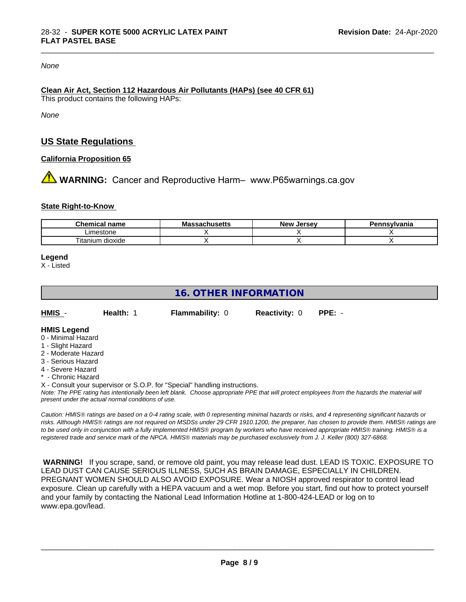#### *None*

#### **Clean Air Act,Section 112 Hazardous Air Pollutants (HAPs) (see 40 CFR 61)** This product contains the following HAPs:

*None*

#### **US State Regulations**

#### **California Proposition 65**

**AN** WARNING: Cancer and Reproductive Harm– www.P65warnings.ca.gov

#### **State Right-to-Know**

| Chemical<br>name     | - -<br><b>AUILIDELLO</b> | Jersev<br>Nev ' | svivania |
|----------------------|--------------------------|-----------------|----------|
| Limestone            |                          |                 |          |
| dioxide<br>I itanıum |                          |                 |          |

\_\_\_\_\_\_\_\_\_\_\_\_\_\_\_\_\_\_\_\_\_\_\_\_\_\_\_\_\_\_\_\_\_\_\_\_\_\_\_\_\_\_\_\_\_\_\_\_\_\_\_\_\_\_\_\_\_\_\_\_\_\_\_\_\_\_\_\_\_\_\_\_\_\_\_\_\_\_\_\_\_\_\_\_\_\_\_\_\_\_\_\_\_

#### **Legend**

X - Listed

#### **16. OTHER INFORMATION**

| HMIS | <b>Health: 1</b> | <b>Flammability: 0</b> | <b>Reactivity: 0</b> | PPE: - |
|------|------------------|------------------------|----------------------|--------|
|      |                  |                        |                      |        |

#### **HMIS Legend**

- 0 Minimal Hazard
- 1 Slight Hazard
- 2 Moderate Hazard
- 3 Serious Hazard
- 4 Severe Hazard
- \* Chronic Hazard
- X Consult your supervisor or S.O.P. for "Special" handling instructions.

*Note: The PPE rating has intentionally been left blank. Choose appropriate PPE that will protect employees from the hazards the material will present under the actual normal conditions of use.*

*Caution: HMISÒ ratings are based on a 0-4 rating scale, with 0 representing minimal hazards or risks, and 4 representing significant hazards or risks. Although HMISÒ ratings are not required on MSDSs under 29 CFR 1910.1200, the preparer, has chosen to provide them. HMISÒ ratings are to be used only in conjunction with a fully implemented HMISÒ program by workers who have received appropriate HMISÒ training. HMISÒ is a registered trade and service mark of the NPCA. HMISÒ materials may be purchased exclusively from J. J. Keller (800) 327-6868.*

 **WARNING!** If you scrape, sand, or remove old paint, you may release lead dust. LEAD IS TOXIC. EXPOSURE TO LEAD DUST CAN CAUSE SERIOUS ILLNESS, SUCH AS BRAIN DAMAGE, ESPECIALLY IN CHILDREN. PREGNANT WOMEN SHOULD ALSO AVOID EXPOSURE.Wear a NIOSH approved respirator to control lead exposure. Clean up carefully with a HEPA vacuum and a wet mop. Before you start, find out how to protect yourself and your family by contacting the National Lead Information Hotline at 1-800-424-LEAD or log on to www.epa.gov/lead.